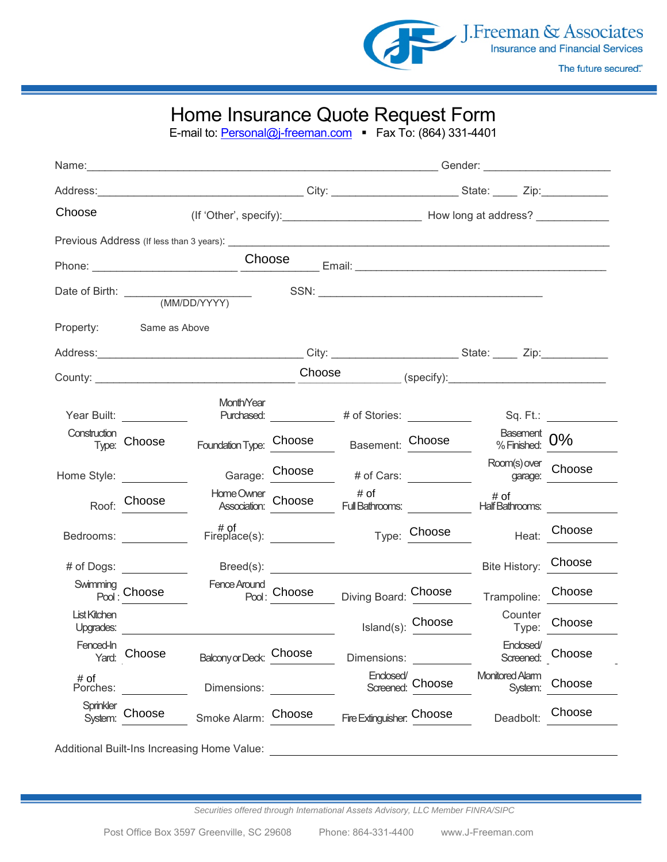

## Home Insurance Quote Request Form

E-mail to: [Personal@j-freeman.com](mailto:Personal@j-freeman.com) • Fax To: (864) 331-4401

| Choose                   |                             |                                             |        |                                                   |                         |                                   |                                                     |  |  |  |
|--------------------------|-----------------------------|---------------------------------------------|--------|---------------------------------------------------|-------------------------|-----------------------------------|-----------------------------------------------------|--|--|--|
|                          |                             |                                             |        |                                                   |                         |                                   |                                                     |  |  |  |
|                          | Choose                      |                                             |        |                                                   |                         |                                   |                                                     |  |  |  |
|                          | Date of Birth: (MM/DD/YYYY) |                                             |        |                                                   |                         |                                   |                                                     |  |  |  |
| Property:                | Same as Above               |                                             |        |                                                   |                         |                                   |                                                     |  |  |  |
|                          |                             |                                             |        |                                                   |                         |                                   |                                                     |  |  |  |
|                          |                             |                                             | Choose |                                                   |                         | (specify):                        |                                                     |  |  |  |
|                          | Year Built: Year Built:     | Month/Year                                  |        |                                                   |                         |                                   | Sq. Ft.: <b>Sq. 19. 19. 19. 19. 19. 19. 19. 19.</b> |  |  |  |
| Construction             | Type: Choose                | Foundation Type: Choose                     |        |                                                   | Basement: Choose        | Basement<br>% Finished: 0%        |                                                     |  |  |  |
|                          | Home Style: ___________     |                                             |        | Garage: Choose # of Cars:                         |                         | Room(s) over<br>garage: Choose    |                                                     |  |  |  |
|                          | Roof: Choose                |                                             |        |                                                   |                         |                                   |                                                     |  |  |  |
|                          | Bedrooms: _____________     | # of<br>Fireplace(s): ____________          |        |                                                   | <sub>Type:</sub> Choose | Heat: Choose                      |                                                     |  |  |  |
|                          | # of Dogs: ___________      |                                             |        | $\text{Breed(s):}$                                |                         | Bite History: Choose              |                                                     |  |  |  |
| Swimming<br>Pool: Choose |                             |                                             |        | Fence Around<br>Pool: Choose Diving Board: Choose |                         | Trampoline: Choose                |                                                     |  |  |  |
| <b>List Kitchen</b>      |                             |                                             |        |                                                   | Island(s): Choose       | Counter                           | Type: Choose                                        |  |  |  |
| Fenced-In<br>Yard:       | Choose                      | Balcony or Deck:                            | Choose | Dimensions:                                       |                         | Enclosed/<br>Screened:            | Choose                                              |  |  |  |
| # of<br>Porches:         |                             | Dimensions:                                 |        | Enclosed/                                         | Screened: Choose        | <b>Monitored Alarm</b><br>System: | Choose                                              |  |  |  |
| Sprinkler<br>System:     | Choose                      | Smoke Alarm:                                | Choose | Fire Extinguisher. Choose                         |                         | Deadbolt:                         | Choose                                              |  |  |  |
|                          |                             | Additional Built-Ins Increasing Home Value: |        |                                                   |                         |                                   |                                                     |  |  |  |

*Securities offered through International Assets Advisory, LLC Member FINRA/SIPC*